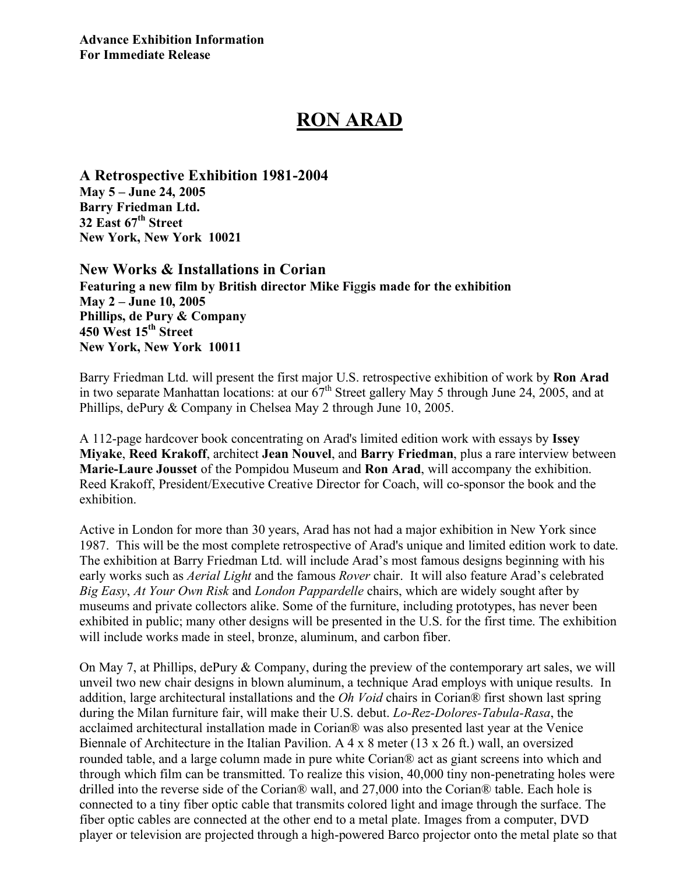## **RON ARAD**

**A Retrospective Exhibition 1981-2004 May 5 – June 24, 2005 Barry Friedman Ltd. 32 East 67th Street New York, New York 10021**

**New Works & Installations in Corian Featuring a new film by British director Mike Fi**g**gis made for the exhibition May 2 – June 10, 2005 Phillips, de Pury & Company 450 West 15th Street New York, New York 10011**

Barry Friedman Ltd. will present the first major U.S. retrospective exhibition of work by **Ron Arad** in two separate Manhattan locations: at our  $67<sup>th</sup>$  Street gallery May 5 through June 24, 2005, and at Phillips, dePury & Company in Chelsea May 2 through June 10, 2005.

A 112-page hardcover book concentrating on Arad's limited edition work with essays by **Issey Miyake**, **Reed Krakoff**, architect **Jean Nouvel**, and **Barry Friedman**, plus a rare interview between **Marie-Laure Jousset** of the Pompidou Museum and **Ron Arad**, will accompany the exhibition. Reed Krakoff, President/Executive Creative Director for Coach, will co-sponsor the book and the exhibition.

Active in London for more than 30 years, Arad has not had a major exhibition in New York since 1987. This will be the most complete retrospective of Arad's unique and limited edition work to date. The exhibition at Barry Friedman Ltd. will include Arad's most famous designs beginning with his early works such as *Aerial Light* and the famous *Rover* chair. It will also feature Arad's celebrated *Big Easy*, *At Your Own Risk* and *London Pappardelle* chairs, which are widely sought after by museums and private collectors alike. Some of the furniture, including prototypes, has never been exhibited in public; many other designs will be presented in the U.S. for the first time. The exhibition will include works made in steel, bronze, aluminum, and carbon fiber.

On May 7, at Phillips, dePury & Company, during the preview of the contemporary art sales, we will unveil two new chair designs in blown aluminum, a technique Arad employs with unique results. In addition, large architectural installations and the *Oh Void* chairs in Corian® first shown last spring during the Milan furniture fair, will make their U.S. debut. *Lo-Rez-Dolores-Tabula-Rasa*, the acclaimed architectural installation made in Corian® was also presented last year at the Venice Biennale of Architecture in the Italian Pavilion. A 4 x 8 meter (13 x 26 ft.) wall, an oversized rounded table, and a large column made in pure white Corian® act as giant screens into which and through which film can be transmitted. To realize this vision, 40,000 tiny non-penetrating holes were drilled into the reverse side of the Corian® wall, and 27,000 into the Corian® table. Each hole is connected to a tiny fiber optic cable that transmits colored light and image through the surface. The fiber optic cables are connected at the other end to a metal plate. Images from a computer, DVD player or television are projected through a high-powered Barco projector onto the metal plate so that